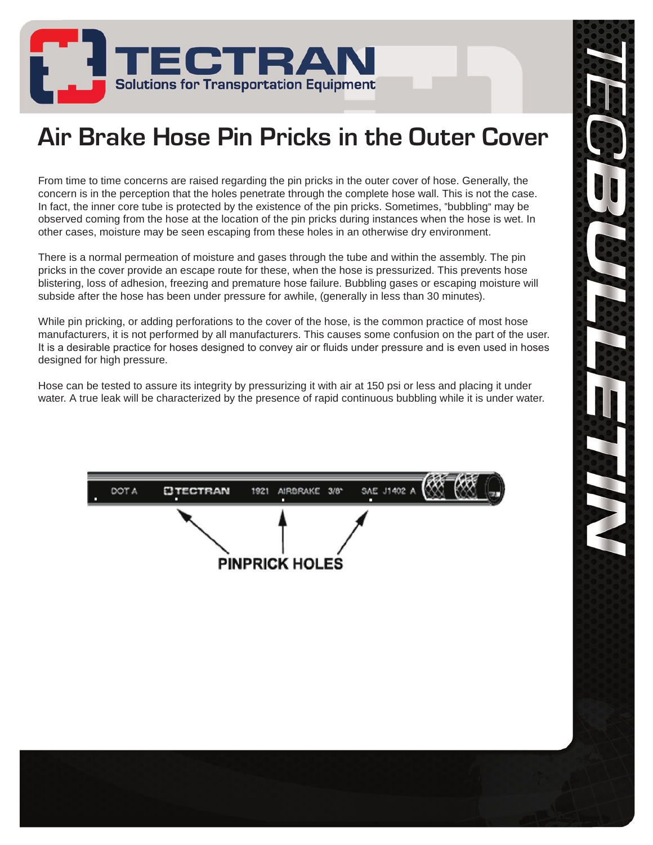

## **Air Brake Hose Pin Pricks in the Outer Cover**

From time to time concerns are raised regarding the pin pricks in the outer cover of hose. Generally, the concern is in the perception that the holes penetrate through the complete hose wall. This is not the case. In fact, the inner core tube is protected by the existence of the pin pricks. Sometimes, "bubbling" may be observed coming from the hose at the location of the pin pricks during instances when the hose is wet. In other cases, moisture may be seen escaping from these holes in an otherwise dry environment.

There is a normal permeation of moisture and gases through the tube and within the assembly. The pin pricks in the cover provide an escape route for these, when the hose is pressurized. This prevents hose blistering, loss of adhesion, freezing and premature hose failure. Bubbling gases or escaping moisture will subside after the hose has been under pressure for awhile, (generally in less than 30 minutes).

While pin pricking, or adding perforations to the cover of the hose, is the common practice of most hose manufacturers, it is not performed by all manufacturers. This causes some confusion on the part of the user. It is a desirable practice for hoses designed to convey air or fluids under pressure and is even used in hoses designed for high pressure.

Hose can be tested to assure its integrity by pressurizing it with air at 150 psi or less and placing it under water. A true leak will be characterized by the presence of rapid continuous bubbling while it is under water.

|                       | DOT A |  | EJTECTRAN 1921 AIRBRAKE 3/8" SAE J1402 A<br>п | п |  |  |  |
|-----------------------|-------|--|-----------------------------------------------|---|--|--|--|
|                       |       |  |                                               |   |  |  |  |
| <b>PINPRICK HOLES</b> |       |  |                                               |   |  |  |  |